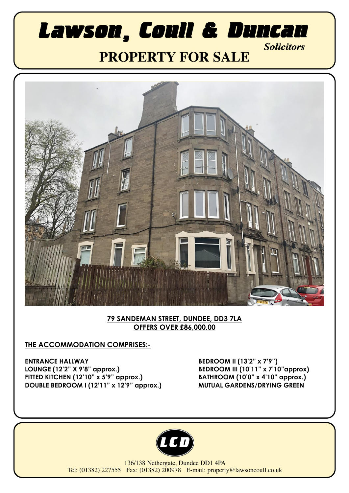# Lawson, Coull & Duncan **Solicitors PROPERTY FOR SALE**



#### **79 SANDEMAN STREET, DUNDEE, DD3 7LA OFFERS OVER £86,000.00**

### **THE ACCOMMODATION COMPRISES:-**

**ENTRANCE HALLWAY LOUNGE (12'2" X 9'8" approx.) FITTED KITCHEN (12'10" x 5'9" approx.) DOUBLE BEDROOM I (12'11" x 12'9" approx.)** **BEDROOM II (13'2" x 7'9") BEDROOM III (10'11" x 7'10"approx) BATHROOM (10'0" x 4'10" approx.) MUTUAL GARDENS/DRYING GREEN**



136/138 Nethergate, Dundee DD1 4PA Tel: (01382) 227555 Fax: (01382) 200978 E-mail: property@lawsoncoull.co.uk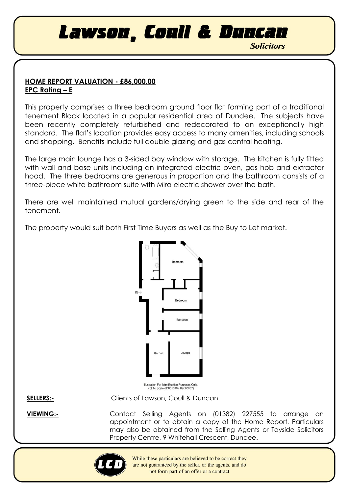Lawson, Coull & Duncan

**Solicitors** 

### **HOME REPORT VALUATION - £86,000.00 EPC Rating – E**

This property comprises a three bedroom ground floor flat forming part of a traditional tenement Block located in a popular residential area of Dundee. The subjects have been recently completely refurbished and redecorated to an exceptionally high standard. The flat's location provides easy access to many amenities, including schools and shopping. Benefits include full double glazing and gas central heating.

The large main lounge has a 3-sided bay window with storage. The kitchen is fully fitted with wall and base units including an integrated electric oven, gas hob and extractor hood. The three bedrooms are generous in proportion and the bathroom consists of a three-piece white bathroom suite with Mira electric shower over the bath.

There are well maintained mutual gardens/drying green to the side and rear of the tenement.

The property would suit both First Time Buyers as well as the Buy to Let market.



**SELLERS:-** Clients of Lawson, Coull & Duncan.

**VIEWING:-** Contact Selling Agents on (01382) 227555 to arrange an appointment or to obtain a copy of the Home Report. Particulars may also be obtained from the Selling Agents or Tayside Solicitors Property Centre, 9 Whitehall Crescent, Dundee.



While these particulars are believed to be correct they are not guaranteed by the seller, or the agents, and do not form part of an offer or a contract